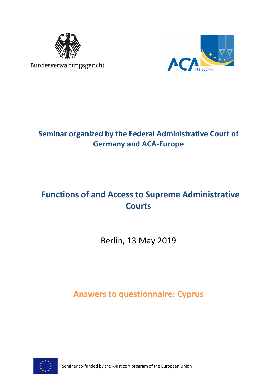

Bundesverwaltungsgericht



# **Seminar organized by the Federal Administrative Court of Germany and ACA-Europe**

# **Functions of and Access to Supreme Administrative Courts**

Berlin, 13 May 2019

**Answers to questionnaire: Cyprus**



Seminar co-funded by the «Justice » program of the European Union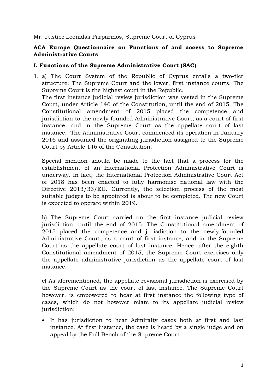Mr. Justice Leonidas Parparinos, Supreme Court of Cyprus

## **ACA Europe Questionnaire on Functions of and access to Supreme Administrative Courts**

#### **I. Functions of the Supreme Administrative Court (SAC)**

1. a) The Court System of the Republic of Cyprus entails a two-tier structure. The Supreme Court and the lower, first instance courts. The Supreme Court is the highest court in the Republic. The first instance judicial review jurisdiction was vested in the Supreme Court, under Article 146 of the Constitution, until the end of 2015. The Constitutional amendment of 2015 placed the competence and jurisdiction to the newly-founded Administrative Court, as a court of first instance, and in the Supreme Court as the appellate court of last instance. The Administrative Court commenced its operation in January 2016 and assumed the originating jurisdiction assigned to the Supreme Court by Article 146 of the Constitution.

Special mention should be made to the fact that a process for the establishment of an International Protection Administrative Court is underway. In fact, the International Protection Administrative Court Act of 2018 has been enacted to fully harmonise national law with the Directive 2013/33/EU. Currently, the selection process of the most suitable judges to be appointed is about to be completed. The new Court is expected to operate within 2019.

b) The Supreme Court carried on the first instance judicial review jurisdiction, until the end of 2015. The Constitutional amendment of 2015 placed the competence and jurisdiction to the newly-founded Administrative Court, as a court of first instance, and in the Supreme Court as the appellate court of last instance. Hence, after the eighth Constitutional amendment of 2015, the Supreme Court exercises only the appellate administrative jurisdiction as the appellate court of last instance.

c) As aforementioned, the appellate revisional jurisdiction is exercised by the Supreme Court as the court of last instance. The Supreme Court however, is empowered to hear at first instance the following type of cases, which do not however relate to its appellate judicial review jurisdiction:

• It has jurisdiction to hear Admiralty cases both at first and last instance. At first instance, the case is heard by a single judge and on appeal by the Full Bench of the Supreme Court.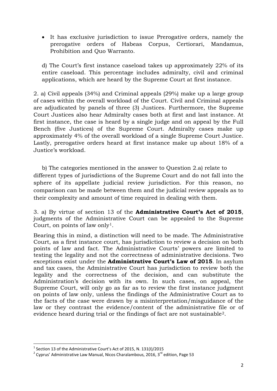• It has exclusive jurisdiction to issue Prerogative orders, namely the prerogative orders of Habeas Corpus, Certiorari, Mandamus, Prohibition and Quo Warranto.

d) The Court's first instance caseload takes up approximately 22% of its entire caseload. This percentage includes admiralty, civil and criminal applications, which are heard by the Supreme Court at first instance.

2. a) Civil appeals (34%) and Criminal appeals (29%) make up a large group of cases within the overall workload of the Court. Civil and Criminal appeals are adjudicated by panels of three (3) Justices. Furthermore, the Supreme Court Justices also hear Admiralty cases both at first and last instance. At first instance, the case is heard by a single judge and on appeal by the Full Bench (five Justices) of the Supreme Court. Admiralty cases make up approximately 4% of the overall workload of a single Supreme Court Justice. Lastly, prerogative orders heard at first instance make up about 18% of a Justice's workload.

b) The categories mentioned in the answer to Question 2.a) relate to different types of jurisdictions of the Supreme Court and do not fall into the sphere of its appellate judicial review jurisdiction. For this reason, no comparison can be made between them and the judicial review appeals as to their complexity and amount of time required in dealing with them.

3. a) By virtue of section 13 of the **Administrative Court's Act of 2015**, judgments of the Administrative Court can be appealed to the Supreme Court, on points of law only<sup>[1](#page-2-0)</sup>.

Bearing this in mind, a distinction will need to be made. The Administrative Court, as a first instance court, has jurisdiction to review a decision on both points of law and fact. Τhe Administrative Courts' powers are limited to testing the legality and not the correctness of administrative decisions. Two exceptions exist under the **Administrative Court's Law of 2015***.* In asylum and tax cases, the Administrative Court has jurisdiction to review both the legality and the correctness of the decision*,* and can substitute the Administration's decision with its own*.* In such cases, on appeal, the Supreme Court, will only go as far as to review the first instance judgment on points of law only, unless the findings of the Administrative Court as to the facts of the case were drawn by a misinterpretation/misguidance of the law or they contrast the evidence/content of the administrative file or of evidence heard during trial or the findings of fact are not sustainable[2](#page-2-1).

<span id="page-2-0"></span> $1$  Section 13 of the Administrative Court's Act of 2015, N. 131(I)/2015

<span id="page-2-1"></span> $2$  Cyprus' Administrative Law Manual, Nicos Charalambous, 2016, 3<sup>rd</sup> edition, Page 53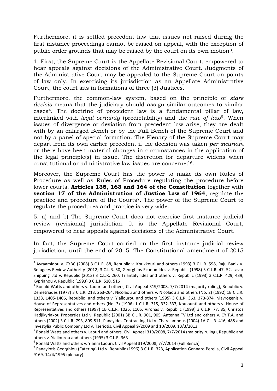Furthermore, it is settled precedent law that issues not raised during the first instance proceedings cannot be raised on appeal, with the exception of public order grounds that may be raised by the court on its own motion[3.](#page-3-0)

4. First, the Supreme Court is the Appellate Revisional Court, empowered to hear appeals against decisions of the Administrative Court. Judgments of the Administrative Court may be appealed to the Supreme Court on points of law only. In exercising its jurisdiction as an Appellate Administrative Court, the court sits in formations of three (3) Justices.

Furthermore, the common-law system, based on the principle of *stare decisis* means that the judiciary should assign similar outcomes to similar cases[4](#page-3-1). The doctrine of precedent law is a fundamental pillar of law, interlinked with *legal certainty* (predictability) and the *rule of law*[5.](#page-3-2) When issues of divergence or deviation from precedent law arise, they are dealt with by an enlarged Bench or by the Full Bench of the Supreme Court and not by a panel of special formation. The Plenary of the Supreme Court may depart from its own earlier precedent if the decision was taken *per incuriam* or there have been material changes in circumstances in the application of the legal principle(s) in issue. The discretion for departure widens when constitutional or administrative law issues are concerned[6.](#page-3-3)

Moreover, the Supreme Court has the power to make its own Rules of Procedure as well as Rules of Procedure regulating the procedure before lower courts. **Articles 135, 163 and 164 of the Constitution** together with **section 17 of the Administration of Justice Law of 1964**, regulate the practice and procedure of the Courts[7](#page-3-4). The power of the Supreme Court to regulate the procedures and practice is very wide.

5. a) and b) The Supreme Court does not exercise first instance judicial review (revisional) jurisdiction. It is the Appellate Revisional Court, empowered to hear appeals against decisions of the Administrative Court.

In fact, the Supreme Court carried on the first instance judicial review jurisdiction, until the end of 2015. The Constitutional amendment of 2015

<span id="page-3-0"></span><sup>&</sup>lt;sup>3</sup> Avraamidou v. CYBC (2008) 3 C.L.R. 88, Republic v. Koukkouri and others (1993) 3 C.L.R. 598, Raju Banik v. Refugees Review Authority (2012) 3 C.L.R. 50, Georghios Economides v. Republic (1998) 3 C.L.R. 47, 52, Lavar Shipping Ltd v. Republic (2013) 3 C.L.R. 260, Triantafyllides and others v. Republic (1993) 3 C.L.R. 429, 439, Kyprianou v. Republic (1993) 3 C.L.R. 510, 516

<span id="page-3-1"></span><sup>4</sup> Ronald Watts and others v. Laouri and others, Civil Appeal 319/2008, 7/7/2014 (majority ruling), Republic v. Demetriades (1977) 3 C.L.R. 213, 263-264, Nicolaou and others v. Nicolaou and others (No. 2) (1992) 1B C.L.R. 1338, 1405-1406, Republic and others v. Yiallourou and others (1995) 3 C.L.R. 363, 373-374, Mavrogenis v. House of Representatives and others (No. 3) (1996) 1 C.L.R. 315, 332-337, Koulounti and others v. House of Representatives and others (1997) 1B C.L.R. 1026, 1105, Vironas v. Republic (1999) 3 C.L.R. 77, 85, Christos Hadjikyriakou Properties Ltd v. Republic (2001) 3B C.L.R. 901, 905, Antenna TV Ltd and others v. CY.T.A. and others (2002) 3 C.L.R. 793, 809-811, Panayides Contracting Ltd v. Charalambous (2004) 1A C.L.R. 416, 488 and Investylia Public Company Ltd v. Tseriotis, Civil Appeal 9/2009 and 10/2009, 13/3/2013

<span id="page-3-2"></span><sup>&</sup>lt;sup>5</sup> Ronald Watts and others v. Laouri and others, Civil Appeal 319/2008, 7/7/2014 (majority ruling), Republic and others v. Yiallourou and others (1995) 3 C.L.R. 363<br>
<sup>6</sup> Ronald Watts and others v. Yianni Laouri, Civil Appeal 319/2008, 7/7/2014 (Full Bench)

<span id="page-3-4"></span><span id="page-3-3"></span><sup>7</sup> Panayiotis Georghiou (Catering) Ltd v. Republic (1996) 3 C.L.R. 323, Application Gennaro Perella, Civil Appeal 9169, 14/4/1995 (plenary)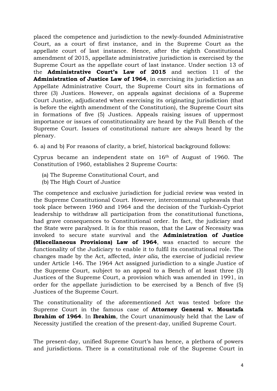placed the competence and jurisdiction to the newly-founded Administrative Court, as a court of first instance, and in the Supreme Court as the appellate court of last instance. Hence, after the eighth Constitutional amendment of 2015, appellate administrative jurisdiction is exercised by the Supreme Court as the appellate court of last instance. Under section 13 of the **Administrative Court's Law of 2015** and section 11 of the **Administration of Justice Law of 1964**, in exercising its jurisdiction as an Appellate Administrative Court, the Supreme Court sits in formations of three (3) Justices. However, on appeals against decisions of a Supreme Court Justice, adjudicated when exercising its originating jurisdiction (that is before the eighth amendment of the Constitution), the Supreme Court sits in formations of five (5) Justices. Appeals raising issues of uppermost importance or issues of constitutionality are heard by the Full Bench of the Supreme Court. Issues of constitutional nature are always heard by the plenary.

6. a) and b) For reasons of clarity, a brief, historical background follows:

Cyprus became an independent state on 16th of August of 1960. The Constitution of 1960, establishes 2 Supreme Courts:

- (a) The Supreme Constitutional Court, and
- (b) The High Court of Justice

The competence and exclusive jurisdiction for judicial review was vested in the Supreme Constitutional Court. However, intercommunal upheavals that took place between 1960 and 1964 and the decision of the Turkish-Cypriot leadership to withdraw all participation from the constitutional functions, had grave consequences to Constitutional order. In fact, the judiciary and the State were paralysed. It is for this reason, that the Law of Necessity was invoked to secure state survival and the **Administration of Justice (Miscellaneous Provisions) Law of 1964**, was enacted to secure the functionality of the Judiciary to enable it to fulfil its constitutional role. The changes made by the Act, affected, *inter alia*, the exercise of judicial review under Article 146. The 1964 Act assigned jurisdiction to a single Justice of the Supreme Court, subject to an appeal to a Bench of at least three (3) Justices of the Supreme Court, a provision which was amended in 1991, in order for the appellate jurisdiction to be exercised by a Bench of five (5) Justices of the Supreme Court.

The constitutionality of the aforementioned Act was tested before the Supreme Court in the famous case of **Attorney General v. Moustafa Ibrahim of 1964**. In **Ibrahim**, the Court unanimously held that the Law of Necessity justified the creation of the present-day, unified Supreme Court.

The present-day, unified Supreme Court's has hence, a plethora of powers and jurisdictions. There is a constitutional role of the Supreme Court in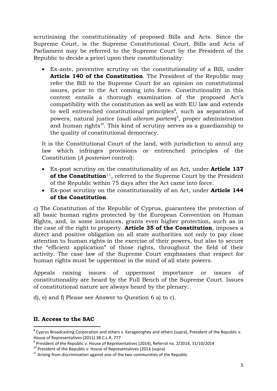scrutinising the constitutionality of proposed Bills and Acts. Since the Supreme Court, is the Supreme Constitutional Court, Bills and Acts of Parliament may be referred to the Supreme Court by the President of the Republic to decide a priori upon their constitutionality:

• Ex-ante, preventive scrutiny on the constitutionality of a Bill, under **Article 140 of the Constitution**. The President of the Republic may refer the Bill to the Supreme Court for an opinion on constitutional issues, prior to the Act coming into force. Constitutionality in this context entails a thorough examination of the proposed Act's compatibility with the constitution as well as with EU law and extends to well entrenched constitutional principles<sup>[8](#page-5-0)</sup>, such as separation of powers, natural justice (*audi alteram partem*) [9](#page-5-1) , proper administration and human rights<sup>[10](#page-5-2)</sup>. This kind of scrutiny serves as a guardianship to the quality of constitutional democracy.

It is the Constitutional Court of the land, with jurisdiction to annul any law which infringes provisions or entrenched principles of the Constitution (*A posteriori* control):

- Ex-post scrutiny on the constitutionality of an Act, under **Article 137 of the Constitution**<sup>11</sup>, referred to the Supreme Court by the President of the Republic within 75 days after the Act came into force.
- Ex-post scrutiny on the constitutionality of an Act, under **Article 144 of the Constitution**.

c) The Constitution of the Republic of Cyprus, guarantees the protection of all basic human rights protected by the European Convention on Human Rights, and, in some instances, grants even higher protection, such as in the case of the right to property. **Article 35 of the Constitution**, imposes a direct and positive obligation on all state authorities not only to pay close attention to human rights in the exercise of their powers, but also to secure the "efficient application" of those rights, throughout the field of their activity. The case law of the Supreme Court emphasises that respect for human rights must be uppermost in the mind of all state powers.

Appeals raising issues of uppermost importance or issues of constitutionality are heard by the Full Bench of the Supreme Court. Issues of constitutional nature are always heard by the plenary.

d), e) and f) Please see Answer to Question 6 a) to c).

## **II. Access to the SAC**

<span id="page-5-0"></span><sup>&</sup>lt;sup>8</sup> Cyprus Broadcasting Corporation and others v. Karageorghey and others (supra), President of the Republic v. House of Representatives (2011) 3B C.L.R. 777

<span id="page-5-1"></span> $9$  President of the Republic v. House of Representatives (2014), Referral no. 2/2014, 31/10/2014

<span id="page-5-2"></span><sup>&</sup>lt;sup>10</sup> President of the Republic v. House of Representatives (2014 (supra)<br><sup>11</sup> Arising from discrimination against one of the two communities of the Republic

<span id="page-5-3"></span>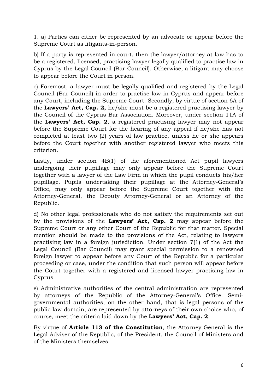1. a) Parties can either be represented by an advocate or appear before the Supreme Court as litigants-in-person.

b) If a party is represented in court, then the lawyer/attorney-at-law has to be a registered, licensed, practising lawyer legally qualified to practise law in Cyprus by the Legal Council (Bar Council). Otherwise, a litigant may choose to appear before the Court in person.

c) Foremost, a lawyer must be legally qualified and registered by the Legal Council (Bar Council) in order to practise law in Cyprus and appear before any Court, including the Supreme Court. Secondly, by virtue of section 6A of the **Lawyers' Act, Cap. 2,** he/she must be a registered practising lawyer by the Council of the Cyprus Bar Association. Moreover, under section 11A of the **Lawyers' Act, Cap. 2**, a registered practising lawyer may not appear before the Supreme Court for the hearing of any appeal if he/she has not completed at least two (2) years of law practice, unless he or she appears before the Court together with another registered lawyer who meets this criterion.

Lastly, under section 4B(1) of the aforementioned Act pupil lawyers undergoing their pupillage may only appear before the Supreme Court together with a lawyer of the Law Firm in which the pupil conducts his/her pupillage. Pupils undertaking their pupillage at the Attorney-General's Office, may only appear before the Supreme Court together with the Attorney-General, the Deputy Attorney-General or an Attorney of the Republic.

d) No other legal professionals who do not satisfy the requirements set out by the provisions of the **Lawyers' Act, Cap. 2** may appear before the Supreme Court or any other Court of the Republic for that matter. Special mention should be made to the provisions of the Act, relating to lawyers practising law in a foreign jurisdiction. Under section 7(1) of the Act the Legal Council (Bar Council) may grant special permission to a renowned foreign lawyer to appear before any Court of the Republic for a particular proceeding or case, under the condition that such person will appear before the Court together with a registered and licensed lawyer practising law in Cyprus.

e) Administrative authorities of the central administration are represented by attorneys of the Republic of the Attorney-General's Office. Semigovernmental authorities, on the other hand, that is legal persons of the public law domain, are represented by attorneys of their own choice who, of course, meet the criteria laid down by the **Lawyers' Act, Cap. 2**.

By virtue of **Article 113 of the Constitution**, the Attorney-General is the Legal Adviser of the Republic, of the President, the Council of Ministers and of the Ministers themselves.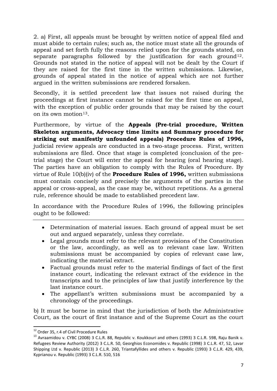2. a) First, all appeals must be brought by written notice of appeal filed and must abide to certain rules; such as, the notice must state all the grounds of appeal and set forth fully the reasons relied upon for the grounds stated, on separate paragraphs followed by the justification for each ground<sup>12</sup>. Grounds not stated in the notice of appeal will not be dealt by the Court if they are raised for the first time in the written submissions. Likewise, grounds of appeal stated in the notice of appeal which are not further argued in the written submissions are rendered forsaken.

Secondly, it is settled precedent law that issues not raised during the proceedings at first instance cannot be raised for the first time on appeal, with the exception of public order grounds that may be raised by the court on its own motion<sup>13</sup>.

Furthermore, by virtue of the **Appeals (Pre-trial procedure, Written Skeleton arguments, Advocacy time limits and Summary procedure for striking out manifestly unfounded appeals) Procedure Rules of 1996,** judicial review appeals are conducted in a two-stage process. First, written submissions are filed. Once that stage is completed (conclusion of the pretrial stage) the Court will enter the appeal for hearing (oral hearing stage). The parties have an obligation to comply with the Rules of Procedure. By virtue of Rule 10(b)(iv) of the **Procedure Rules of 1996,** written submissions must contain concisely and precisely the arguments of the parties in the appeal or cross-appeal, as the case may be, without repetitions. As a general rule, reference should be made to established precedent law.

In accordance with the Procedure Rules of 1996, the following principles ought to be followed:

- Determination of material issues. Each ground of appeal must be set out and argued separately, unless they correlate.
- Legal grounds must refer to the relevant provisions of the Constitution or the law, accordingly, as well as to relevant case law. Written submissions must be accompanied by copies of relevant case law, indicating the material extract.
- Factual grounds must refer to the material findings of fact of the first instance court, indicating the relevant extract of the evidence in the transcripts and to the principles of law that justify interference by the last instance court.
- The appellant's written submissions must be accompanied by a chronology of the proceedings.

b) It must be borne in mind that the jurisdiction of both the Administrative Court, as the court of first instance and of the Supreme Court as the court

<span id="page-7-1"></span><span id="page-7-0"></span><sup>&</sup>lt;sup>12</sup> Order 35, r.4 of Civil Procedure Rules<br><sup>13</sup> Avraamidou v. CYBC (2008) 3 C.L.R. 88, Republic v. Koukkouri and others (1993) 3 C.L.R. 598, Raju Banik v. Refugees Review Authority (2012) 3 C.L.R. 50, Georghios Economides v. Republic (1998) 3 C.L.R. 47, 52, Lavar Shipping Ltd v. Republic (2013) 3 C.L.R. 260, Triantafyllides and others v. Republic (1993) 3 C.L.R. 429, 439, Kyprianou v. Republic (1993) 3 C.L.R. 510, 516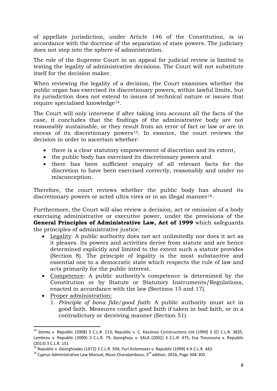of appellate jurisdiction, under Article 146 of the Constitution, is in accordance with the doctrine of the separation of state powers. The judiciary does not step into the sphere of administration.

The role of the Supreme Court in an appeal for judicial review is limited to testing the legality of administrative decisions. The Court will not substitute itself for the decision maker.

When reviewing the legality of a decision, the Court examines whether the public organ has exercised its discretionary powers, within lawful limits, but its jurisdiction does not extend to issues of technical nature or issues that require specialised knowledge[14](#page-8-0).

The Court will only intervene if after taking into account all the facts of the case, it concludes that the findings of the administrative body are not reasonably sustainable, or they result from an error of fact or law or are in excess of its discretionary powers<sup>15</sup>. In essence, the court reviews the decision in order to ascertain whether:

- there is a clear statutory empowerment of discretion and its extent,
- the public body has exercised its discretionary powers and
- there has been sufficient enquiry of all relevant facts for the discretion to have been exercised correctly, reasonably and under no misconception.

Therefore, the court reviews whether the public body has abused its discretionary powers or acted ultra vires or in an illegal manner<sup>[16](#page-8-2)</sup>.

Furthermore, the Court will also review a decision, act or omission of a body exercising administrative or executive power, under the provisions of the **General Principles of Administrative Law, Act of 1999** which safeguards the principles of administrative justice*:*

- Legality: A public authority does not act unlimitedly nor does it act as it pleases. Its powers and activities derive from statute and are hence determined explicitly and limited to the extent such a statute provides (Section 8). The principle of legality is the most substantive and essential one to a democratic state which respects the rule of law and acts primarily for the public interest.
- Competence: A public authority's competence is determined by the Constitution or by Statute or Statutory Instruments/Regulations, enacted in accordance with the law (Sections 15 and 17).
- Proper administration:
	- 1. *Principle of bona fide/good faith*: A public authority must act in good faith. Measures conflict good faith if taken in bad faith, or in a contradictory or deceiving manner (Section 51).

<span id="page-8-0"></span><sup>&</sup>lt;sup>14</sup> Storey v. Republic (2008) 3 C.L.R. 113, Republic v. C. Kassinos Constructions Ltd (1990) 3 (E) C.L.R. 3835, Lambrou v. Republic (2009) 3 C.L.R. 79, Georghiou v. SALA (2002) 3 C.L.R. 475, Eva Ttousouna v. Republic (2013) 3 C.L.R. 151

<span id="page-8-1"></span><sup>&</sup>lt;sup>15</sup> Republic v. Georghiades (1972) 3 C.L.R. 594, Yuri Kolomoets v. Republic (1999) 4 A C.L.R. 443<br><sup>16</sup> Cyprus Administrative Law Manual, Nicos Charalambous, 3<sup>rd</sup> edition, 2016, Page 304-305

<span id="page-8-2"></span>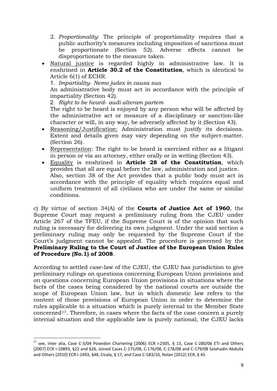- 2. *Proportionality*: The principle of proportionality requires that a public authority's measures including imposition of sanctions must be proportionate (Section 52). Adverse effects cannot be disproportionate to the measure taken.
- Natural justice is regarded highly in administrative law. It is enshrined in **Article 30.2 of the Constitution**, which is identical to Article 6(1) of ECHR.

1. *Impartiality*- *Nemo judex in causa sua*

An administrative body must act in accordance with the principle of impartiality (Section 42).

2. *Right to be heard*- *audi alteram partem*

The right to be heard is enjoyed by any person who will be affected by the administrative act or measure of a disciplinary or sanction-like character or will, in any way, be adversely affected by it (Section 43).

- Reasoning/Justification: Administration must justify its decisions. Extent and details given may vary depending on the subject-matter. (Section 26).
- Representation: The right to be heard is exercised either as a litigant in person or via an attorney, either orally or in writing (Section 43).
- Equality is enshrined in **Article 28 of the Constitution**, which provides that all are equal before the law, administration and justice. Also, section 38 of the Act provides that a public body must act in accordance with the principle of equality which requires equal and uniform treatment of all civilians who are under the same or similar conditions.

c) By virtue of section 34(A) of the **Courts of Justice Act of 1960**, the Supreme Court may request a preliminary ruling from the CJEU under Article 267 of the TFEU, if the Supreme Court is of the opinion that such ruling is necessary for delivering its own judgment. Under the said section a preliminary ruling may only be requested by the Supreme Court if the Court's judgment cannot be appealed. The procedure is governed by the **Preliminary Ruling to the Court of Justice of the European Union Rules of Procedure (No.1) of 2008**.

According to settled case-law of the CJEU, the CJEU has jurisdiction to give preliminary rulings on questions concerning European Union provisions and on questions concerning European Union provisions in situations where the facts of the cases being considered by the national courts are outside the scope of European Union law, but in which domestic law refers to the content of those provisions of European Union in order to determine the rules applicable to a situation which is purely internal to the Member State concerned[17.](#page-9-0) Therefore, in cases where the facts of the case concern a purely internal situation and the applicable law is purely national, the CJEU lacks

<span id="page-9-0"></span><sup>&</sup>lt;sup>17</sup> see, inter alia, Case C-3/04 Poseidon Chartering [2006] ECR I-2505, § 15, Case C-280/06 ETI and Others [2007] ECR I-10893, §22 and §26, Joined Cases C-175/08, C-176/08, C-178/08 and C-179/08 Salahadin Abdulla and Others [2010] ECR I-1493, §48, Cicala, § 17, and Case C-583/10, Nolan [2012] ECR, § 45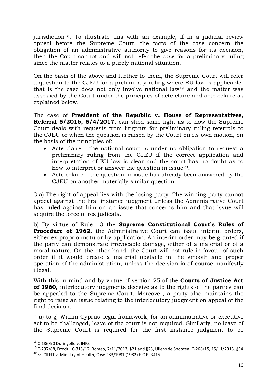jurisdiction<sup>18</sup>. To illustrate this with an example, if in a judicial review appeal before the Supreme Court, the facts of the case concern the obligation of an administrative authority to give reasons for its decision, then the Court cannot and will not refer the case for a preliminary ruling since the matter relates to a purely national situation.

On the basis of the above and further to them, the Supreme Court will refer a question to the CJEU for a preliminary ruling where EU law is applicablethat is the case does not only involve national law[19](#page-10-1) and the matter was assessed by the Court under the principles of acte claire and acte éclairé as explained below.

The case of **President of the Republic v. House of Representatives, Referral 5/2016, 5/4/2017**, can shed some light as to how the Supreme Court deals with requests from litigants for preliminary ruling referrals to the CJEU or when the question is raised by the Court on its own motion, on the basis of the principles of:

- Acte claire the national court is under no obligation to request a preliminary ruling from the CJEU if the correct application and interpretation of EU law is clear and the court has no doubt as to how to interpret or answer the question in issue<sup>20</sup>.
- Acte éclairé the question in issue has already been answered by the CJEU on another materially similar question.

3 a) The right of appeal lies with the losing party. The winning party cannot appeal against the first instance judgment unless the Administrative Court has ruled against him on an issue that concerns him and that issue will acquire the force of res judicata.

b) By virtue of Rule 13 the **Supreme Constitutional Court's Rules of Procedure of 1962,** the Administrative Court can issue interim orders, either ex proprio motu or by application. An interim order may be granted if the party can demonstrate irrevocable damage, either of a material or of a moral nature. On the other hand, the Court will not rule in favour of such order if it would create a material obstacle in the smooth and proper operation of the administration, unless the decision is of course manifestly illegal.

With this in mind and by virtue of section 25 of the **Courts of Justice Act of 1960,** interlocutory judgments decisive as to the rights of the parties can be appealed to the Supreme Court. Moreover, a party also maintains the right to raise an issue relating to the interlocutory judgment on appeal of the final decision.

4 a) to g) Within Cyprus' legal framework, for an administrative or executive act to be challenged, leave of the court is not required. Similarly, no leave of the Supreme Court is required for the first instance judgment to be

<span id="page-10-1"></span><span id="page-10-0"></span><sup>&</sup>lt;sup>18</sup> C-186/90 Duringello v. INPS<br><sup>19</sup> C-297/88, Dzodzi, C-313/12, Romeo, 7/11/2013, §21 and §23, Ullens de Shooten, C-268/15, 15/11/2016, §54<br><sup>20</sup> Srl CILFIT v. Ministry of Health, Case 283/1981 (1982) E.C.R. 3415

<span id="page-10-2"></span>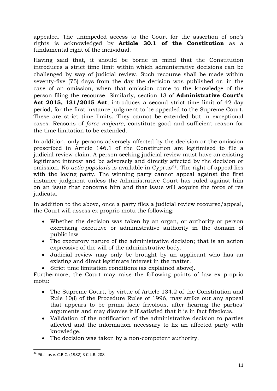appealed. The unimpeded access to the Court for the assertion of one's rights is acknowledged by **Article 30.1 of the Constitution** as a fundamental right of the individual.

Having said that, it should be borne in mind that the Constitution introduces a strict time limit within which administrative decisions can be challenged by way of judicial review. Such recourse shall be made within seventy-five (75) days from the day the decision was published or, in the case of an omission, when that omission came to the knowledge of the person filing the recourse. Similarly, section 13 of **Administrative Court's Act 2015, 131/2015 Act**, introduces a second strict time limit of 42-day period, for the first instance judgment to be appealed to the Supreme Court. These are strict time limits. They cannot be extended but in exceptional cases. Reasons of *force majeure*, constitute good and sufficient reason for the time limitation to be extended.

In addition, only persons adversely affected by the decision or the omission prescribed in Article 146.1 of the Constitution are legitimised to file a judicial review claim. A person seeking judicial review must have an existing legitimate interest and be adversely and directly affected by the decision or omission. No *actio popularis* is available in Cyprus<sup>[21](#page-11-0)</sup>. The right of appeal lies with the losing party. The winning party cannot appeal against the first instance judgment unless the Administrative Court has ruled against him on an issue that concerns him and that issue will acquire the force of res judicata.

In addition to the above, once a party files a judicial review recourse/appeal, the Court will assess ex proprio motu the following:

- Whether the decision was taken by an organ, or authority or person exercising executive or administrative authority in the domain of public law.
- The executory nature of the administrative decision; that is an action expressive of the will of the administrative body.
- Judicial review may only be brought by an applicant who has an existing and direct legitimate interest in the matter.
- Strict time limitation conditions (as explained above).

Furthermore, the Court may raise the following points of law ex proprio motu:

- The Supreme Court, by virtue of Article 134.2 of the Constitution and Rule 10(i) of the Procedure Rules of 1996, may strike out any appeal that appears to be prima facie frivolous, after hearing the parties' arguments and may dismiss it if satisfied that it is in fact frivolous.
- Validation of the notification of the administrative decision to parties affected and the information necessary to fix an affected party with knowledge.
- The decision was taken by a non-competent authority.

<span id="page-11-0"></span> <sup>21</sup> Pitsillos v. C.B.C. (1982) 3 C.L.R. 208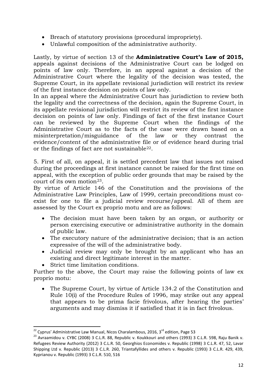- Breach of statutory provisions (procedural impropriety).
- Unlawful composition of the administrative authority.

Lastly, by virtue of section 13 of the **Administrative Court's Law of 2015,**  appeals against decisions of the Administrative Court can be lodged on points of law only. Therefore, in an appeal against a decision of the Administrative Court where the legality of the decision was tested, the Supreme Court, in its appellate revisional jurisdiction will restrict its review of the first instance decision on points of law only.

In an appeal where the Administrative Court has jurisdiction to review both the legality and the correctness of the decision, again the Supreme Court, in its appellate revisional jurisdiction will restrict its review of the first instance decision on points of law only. Findings of fact of the first instance Court can be reviewed by the Supreme Court when the findings of the Administrative Court as to the facts of the case were drawn based on a misinterpretation/misguidance of the law or they contrast the evidence/content of the administrative file or of evidence heard during trial or the findings of fact are not sustainable[22.](#page-12-0)

5. First of all, on appeal, it is settled precedent law that issues not raised during the proceedings at first instance cannot be raised for the first time on appeal, with the exception of public order grounds that may be raised by the court of its own motion[23.](#page-12-1)

By virtue of Article 146 of the Constitution and the provisions of the Administrative Law Principles, Law of 1999, certain preconditions must coexist for one to file a judicial review recourse/appeal. All of them are assessed by the Court ex proprio motu and are as follows:

- The decision must have been taken by an organ, or authority or person exercising executive or administrative authority in the domain of public law.
- The executory nature of the administrative decision; that is an action expressive of the will of the administrative body.
- Judicial review may only be brought by an applicant who has an existing and direct legitimate interest in the matter.
- Strict time limitation conditions.

Further to the above, the Court may raise the following points of law ex proprio motu:

• The Supreme Court, by virtue of Article 134.2 of the Constitution and Rule 10(i) of the Procedure Rules of 1996, may strike out any appeal that appears to be prima facie frivolous, after hearing the parties' arguments and may dismiss it if satisfied that it is in fact frivolous.

<span id="page-12-1"></span><span id="page-12-0"></span><sup>&</sup>lt;sup>22</sup> Cyprus' Administrative Law Manual, Nicos Charalambous, 2016, 3<sup>rd</sup> edition, Page 53<br><sup>23</sup> Avraamidou v. CYBC (2008) 3 C.L.R. 88, Republic v. Koukkouri and others (1993) 3 C.L.R. 598, Raju Banik v. Refugees Review Authority (2012) 3 C.L.R. 50, Georghios Economides v. Republic (1998) 3 C.L.R. 47, 52, Lavar Shipping Ltd v. Republic (2013) 3 C.L.R. 260, Triantafyllides and others v. Republic (1993) 3 C.L.R. 429, 439, Kyprianou v. Republic (1993) 3 C.L.R. 510, 516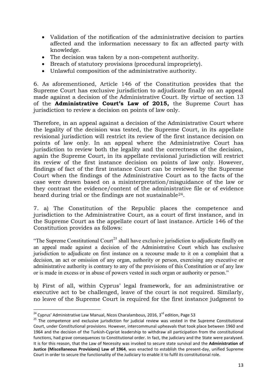- Validation of the notification of the administrative decision to parties affected and the information necessary to fix an affected party with knowledge.
- The decision was taken by a non-competent authority.
- Breach of statutory provisions (procedural impropriety).
- Unlawful composition of the administrative authority.

6. As aforementioned, Article 146 of the Constitution provides that the Supreme Court has exclusive jurisdiction to adjudicate finally on an appeal made against a decision of the Administrative Court. By virtue of section 13 of the **Administrative Court's Law of 2015,** the Supreme Court has jurisdiction to review a decision on points of law only.

Therefore, in an appeal against a decision of the Administrative Court where the legality of the decision was tested, the Supreme Court, in its appellate revisional jurisdiction will restrict its review of the first instance decision on points of law only. In an appeal where the Administrative Court has jurisdiction to review both the legality and the correctness of the decision, again the Supreme Court, in its appellate revisional jurisdiction will restrict its review of the first instance decision on points of law only. However, findings of fact of the first instance Court can be reviewed by the Supreme Court when the findings of the Administrative Court as to the facts of the case were drawn based on a misinterpretation/misguidance of the law or they contrast the evidence/content of the administrative file or of evidence heard during trial or the findings are not sustainable<sup>[24](#page-13-0)</sup>.

7. a) The Constitution of the Republic places the competence and jurisdiction to the Administrative Court, as a court of first instance, and in the Supreme Court as the appellate court of last instance. Article 146 of the Constitution provides as follows:

"The Supreme Constitutional Court<sup>[25](#page-13-1)</sup> shall have exclusive jurisdiction to adjudicate finally on an appeal made against a decision of the Administrative Court which has exclusive jurisdiction to adjudicate on first instance on a recourse made to it on a complaint that a decision, an act or omission of any organ, authority or person, exercising any executive or administrative authority is contrary to any of the provisions of this Constitution or of any law or is made in excess or in abuse of powers vested in such organ or authority or person."

b) First of all, within Cyprus' legal framework, for an administrative or executive act to be challenged, leave of the court is not required. Similarly, no leave of the Supreme Court is required for the first instance judgment to

<span id="page-13-1"></span><span id="page-13-0"></span><sup>&</sup>lt;sup>24</sup> Cyprus' Administrative Law Manual, Nicos Charalambous, 2016, 3<sup>rd</sup> edition, Page 53<br><sup>25</sup> The competence and exclusive jurisdiction for judicial review was vested in the Supreme Constitutional Court, under Constitutional provisions. However, intercommunal upheavals that took place between 1960 and 1964 and the decision of the Turkish-Cypriot leadership to withdraw all participation from the constitutional functions, had grave consequences to Constitutional order. In fact, the judiciary and the State were paralysed. It is for this reason, that the Law of Necessity was invoked to secure state survival and the **Administration of Justice (Miscellaneous Provisions) Law of 1964**, was enacted to establish the present-day, unified Supreme Court in order to secure the functionality of the Judiciary to enable it to fulfil its constitutional role.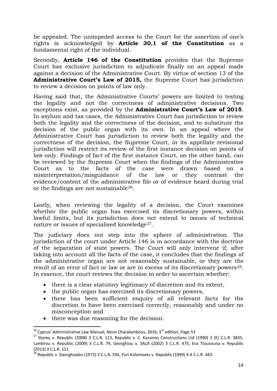be appealed. The unimpeded access to the Court for the assertion of one's rights is acknowledged by **Article 30.1 of the Constitution** as a fundamental right of the individual.

Secondly, **Article 146 of the Constitution** provides that the Supreme Court has exclusive jurisdiction to adjudicate finally on an appeal made against a decision of the Administrative Court. By virtue of section 13 of the **Administrative Court's Law of 2015,** the Supreme Court has jurisdiction to review a decision on points of law only.

Having said that, the Administrative Courts' powers are limited to testing the legality and not the correctness of administrative decisions. Two exceptions exist, as provided by the **Administrative Court's Law of 2015***.* In asylum and tax cases, the Administrative Court has jurisdiction to review both the legality and the correctness of the decision*,* and to substitute the decision of the public organ with its own*.* In an appeal where the Administrative Court has jurisdiction to review both the legality and the correctness of the decision, the Supreme Court, in its appellate revisional jurisdiction will restrict its review of the first instance decision on points of law only. Findings of fact of the first instance Court, on the other hand, can be reviewed by the Supreme Court when the findings of the Administrative Court as to the facts of the case were drawn based on a misinterpretation/misguidance of the law or they contrast the evidence/content of the administrative file or of evidence heard during trial or the findings are not sustainable[26](#page-14-0).

Lastly, when reviewing the legality of a decision, the Court examines whether the public organ has exercised its discretionary powers, within lawful limits, but its jurisdiction does not extend to issues of technical nature or issues of specialised knowledge<sup>[27](#page-14-1)</sup>.

The judiciary does not step into the sphere of administration. The jurisdiction of the court under Article 146 is in accordance with the doctrine of the separation of state powers. The Court will only intervene if, after taking into account all the facts of the case, it concludes that the findings of the administrative organ are not reasonably sustainable, or they are the result of an error of fact or law or are in excess of its discretionary powers<sup>28</sup>. In essence, the court reviews the decision in order to ascertain whether:

- there is a clear statutory legitimacy of discretion and its extent,
- the public organ has exercised its discretionary powers,
- there has been sufficient enquiry of all relevant facts for the discretion to have been exercised correctly, reasonably and under no misconception and
- there was due reasoning for the decision.

<span id="page-14-1"></span><span id="page-14-0"></span><sup>&</sup>lt;sup>26</sup> Cyprus' Administrative Law Manual, Nicos Charalambous, 2016, 3<sup>rd</sup> edition, Page 53<br><sup>27</sup> Storey v. Republic (2008) 3 C.L.R. 113, Republic v. C. Kassinos Constructions Ltd (1990) 3 (E) C.L.R. 3835, Lambrou v. Republic (2009) 3 C.L.R. 79, Georghiou v. SALA (2002) 3 C.L.R. 475, Eva Ttousouna v. Republic (2013) 3 C.L.R. 151

<span id="page-14-2"></span> $\frac{28}{28}$  Republic v. Georghiades (1972) 3 C.L.R. 594, Yuri Kolomoets v. Republic (1999) 4 A C.L.R. 443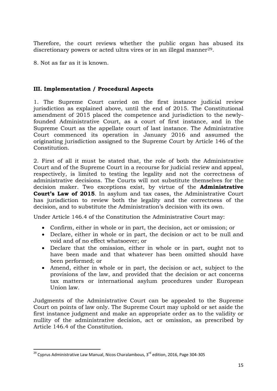Therefore, the court reviews whether the public organ has abused its discretionary powers or acted ultra vires or in an illegal manner<sup>[29](#page-15-0)</sup>.

8. Not as far as it is known.

## **III. Implementation / Procedural Aspects**

1. The Supreme Court carried on the first instance judicial review jurisdiction as explained above, until the end of 2015. The Constitutional amendment of 2015 placed the competence and jurisdiction to the newlyfounded Administrative Court, as a court of first instance, and in the Supreme Court as the appellate court of last instance. The Administrative Court commenced its operation in January 2016 and assumed the originating jurisdiction assigned to the Supreme Court by Article 146 of the Constitution.

2. First of all it must be stated that, the role of both the Administrative Court and of the Supreme Court in a recourse for judicial review and appeal, respectively, is limited to testing the legality and not the correctness of administrative decisions. The Courts will not substitute themselves for the decision maker. Two exceptions exist, by virtue of the **Administrative Court's Law of 2015***.* In asylum and tax cases, the Administrative Court has jurisdiction to review both the legality and the correctness of the decision*,* and to substitute the Administration's decision with its own*.*

Under Article 146.4 of the Constitution the Administrative Court may:

- Confirm, either in whole or in part, the decision, act or omission; or
- Declare, either in whole or in part, the decision or act to be null and void and of no effect whatsoever; or
- Declare that the omission, either in whole or in part, ought not to have been made and that whatever has been omitted should have been performed; or
- Amend, either in whole or in part, the decision or act, subject to the provisions of the law, and provided that the decision or act concerns tax matters or international asylum procedures under European Union law.

Judgments of the Administrative Court can be appealed to the Supreme Court on points of law only. The Supreme Court may uphold or set aside the first instance judgment and make an appropriate order as to the validity or nullity of the administrative decision, act or omission, as prescribed by Article 146.4 of the Constitution.

<span id="page-15-0"></span> $29$  Cyprus Administrative Law Manual, Nicos Charalambous,  $3<sup>rd</sup>$  edition, 2016, Page 304-305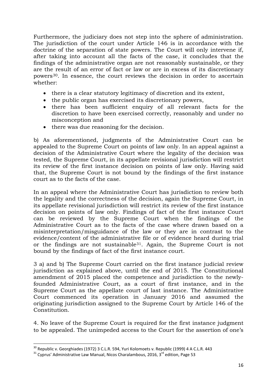Furthermore, the judiciary does not step into the sphere of administration. The jurisdiction of the court under Article 146 is in accordance with the doctrine of the separation of state powers. The Court will only intervene if, after taking into account all the facts of the case, it concludes that the findings of the administrative organ are not reasonably sustainable, or they are the result of an error of fact or law or are in excess of its discretionary powers[30.](#page-16-0) In essence, the court reviews the decision in order to ascertain whether:

- there is a clear statutory legitimacy of discretion and its extent,
- the public organ has exercised its discretionary powers,
- there has been sufficient enquiry of all relevant facts for the discretion to have been exercised correctly, reasonably and under no misconception and
- there was due reasoning for the decision.

b) As aforementioned, judgments of the Administrative Court can be appealed to the Supreme Court on points of law only. In an appeal against a decision of the Administrative Court where the legality of the decision was tested, the Supreme Court, in its appellate revisional jurisdiction will restrict its review of the first instance decision on points of law only. Having said that, the Supreme Court is not bound by the findings of the first instance court as to the facts of the case.

In an appeal where the Administrative Court has jurisdiction to review both the legality and the correctness of the decision, again the Supreme Court, in its appellate revisional jurisdiction will restrict its review of the first instance decision on points of law only. Findings of fact of the first instance Court can be reviewed by the Supreme Court when the findings of the Administrative Court as to the facts of the case where drawn based on a misinterpretation/misguidance of the law or they are in contrast to the evidence/content of the administrative file or of evidence heard during trial or the findings are not sustainable[31.](#page-16-1) Again, the Supreme Court is not bound by the findings of fact of the first instance court.

3 a) and b) The Supreme Court carried on the first instance judicial review jurisdiction as explained above, until the end of 2015. The Constitutional amendment of 2015 placed the competence and jurisdiction to the newlyfounded Administrative Court, as a court of first instance, and in the Supreme Court as the appellate court of last instance. The Administrative Court commenced its operation in January 2016 and assumed the originating jurisdiction assigned to the Supreme Court by Article 146 of the Constitution.

4. No leave of the Supreme Court is required for the first instance judgment to be appealed. The unimpeded access to the Court for the assertion of one's

<span id="page-16-0"></span><sup>&</sup>lt;sup>30</sup> Republic v. Georghiades (1972) 3 C.L.R. 594, Yuri Kolomoets v. Republic (1999) 4 A C.L.R. 443<br><sup>31</sup> Cyprus' Administrative Law Manual, Nicos Charalambous, 2016, 3<sup>rd</sup> edition, Page 53

<span id="page-16-1"></span>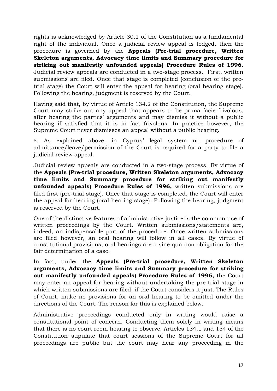rights is acknowledged by Article 30.1 of the Constitution as a fundamental right of the individual. Once a judicial review appeal is lodged, then the procedure is governed by the **Appeals (Pre-trial procedure, Written Skeleton arguments, Advocacy time limits and Summary procedure for striking out manifestly unfounded appeals) Procedure Rules of 1996.** Judicial review appeals are conducted in a two-stage process. First, written submissions are filed. Once that stage is completed (conclusion of the pretrial stage) the Court will enter the appeal for hearing (oral hearing stage). Following the hearing, judgment is reserved by the Court.

Having said that, by virtue of Article 134.2 of the Constitution, the Supreme Court may strike out any appeal that appears to be prima facie frivolous, after hearing the parties' arguments and may dismiss it without a public hearing if satisfied that it is in fact frivolous. In practice however, the Supreme Court never dismisses an appeal without a public hearing.

5. As explained above, in Cyprus' legal system no procedure of admittance/leave/permission of the Court is required for a party to file a judicial review appeal.

Judicial review appeals are conducted in a two-stage process. By virtue of the **Appeals (Pre-trial procedure, Written Skeleton arguments, Advocacy time limits and Summary procedure for striking out manifestly unfounded appeals) Procedure Rules of 1996,** written submissions are filed first (pre-trial stage). Once that stage is completed, the Court will enter the appeal for hearing (oral hearing stage). Following the hearing, judgment is reserved by the Court.

One of the distinctive features of administrative justice is the common use of written proceedings by the Court. Written submissions/statements are, indeed, an indispensable part of the procedure. Once written submissions are filed however, an oral hearing will follow in all cases. By virtue of constitutional provisions, oral hearings are a sine qua non obligation for the fair determination of a case.

In fact, under the **Appeals (Pre-trial procedure, Written Skeleton arguments, Advocacy time limits and Summary procedure for striking out manifestly unfounded appeals) Procedure Rules of 1996,** the Court may enter an appeal for hearing without undertaking the pre-trial stage in which written submissions are filed, if the Court considers it just. The Rules of Court, make no provisions for an oral hearing to be omitted under the directions of the Court. The reason for this is explained below.

Administrative proceedings conducted only in writing would raise a constitutional point of concern. Conducting them solely in writing means that there is no court room hearing to observe. Articles 134.1 and 154 of the Constitution stipulate that court sessions of the Supreme Court for all proceedings are public but the court may hear any proceeding in the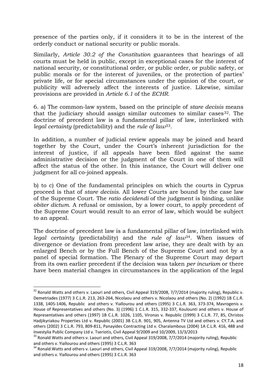presence of the parties only, if it considers it to be in the interest of the orderly conduct or national security or public morals.

Similarly, *Article 30.2 of the Constitution* guarantees that hearings of all courts must be held in public, except in exceptional cases for the interest of national security, or constitutional order, or public order, or public safety, or public morals or for the interest of juveniles, or the protection of parties' private life, or for special circumstances under the opinion of the court, or publicity will adversely affect the interests of justice*.* Likewise, similar provisions are provided in *Article 6.1* of the *ECHR*.

6. a) The common-law system, based on the principle of *stare decisis* means that the judiciary should assign similar outcomes to similar cases  $32$ . The doctrine of precedent law is a fundamental pillar of law, interlinked with *legal certainty* (predictability) and the *rule of law*[33](#page-18-1).

In addition, a number of judicial review appeals may be joined and heard together by the Court, under the Court's inherent jurisdiction for the interest of justice, if all appeals have been filed against the same administrative decision or the judgment of the Court in one of them will affect the status of the other. In this instance, the Court will deliver one judgment for all co-joined appeals.

b) to c) One of the fundamental principles on which the courts in Cyprus proceed is that of *stare decisis*. All lower Courts are bound by the case law of the Supreme Court. The *ratio decidendi* of the judgment is binding, unlike *obiter dictum*. A refusal or omission, by a lower court, to apply precedent of the Supreme Court would result to an error of law, which would be subject to an appeal.

The doctrine of precedent law is a fundamental pillar of law, interlinked with *legal certainty* (predictability) and the *rule of law*[34](#page-18-2). When issues of divergence or deviation from precedent law arise, they are dealt with by an enlarged Bench or by the Full Bench of the Supreme Court and not by a panel of special formation. The Plenary of the Supreme Court may depart from its own earlier precedent if the decision was taken *per incuriam* or there have been material changes in circumstances in the application of the legal

<span id="page-18-0"></span><sup>&</sup>lt;sup>32</sup> Ronald Watts and others v. Laouri and others, Civil Appeal 319/2008, 7/7/2014 (majority ruling), Republic v. Demetriades (1977) 3 C.L.R. 213, 263-264, Nicolaou and others v. Nicolaou and others (No. 2) (1992) 1B C.L.R. 1338, 1405-1406, Republic and others v. Yiallourou and others (1995) 3 C.L.R. 363, 373-374, Mavrogenis v. House of Representatives and others (No. 3) (1996) 1 C.L.R. 315, 332-337, Koulounti and others v. House of Representatives and others (1997) 1B C.L.R. 1026, 1105, Vironas v. Republic (1999) 3 C.L.R. 77, 85, Christos Hadjikyriakou Properties Ltd v. Republic (2001) 3B C.L.R. 901, 905, Antenna TV Ltd and others v. CY.T.A. and others (2002) 3 C.L.R. 793, 809-811, Panayides Contracting Ltd v. Charalambous (2004) 1A C.L.R. 416, 488 and Investylia Public Company Ltd v. Tseriotis, Civil Appeal 9/2009 and 10/2009, 13/3/2013

<span id="page-18-1"></span><sup>&</sup>lt;sup>33</sup> Ronald Watts and others v. Laouri and others, Civil Appeal 319/2008, 7/7/2014 (majority ruling), Republic and others v. Yiallourou and others (1995) 3 C.L.R. 363<br><sup>34</sup> Ronald Watts and others v. Laouri and others, Civil Appeal 319/2008, 7/7/2014 (majority ruling), Republic

<span id="page-18-2"></span>and others v. Yiallourou and others (1995) 3 C.L.R. 363